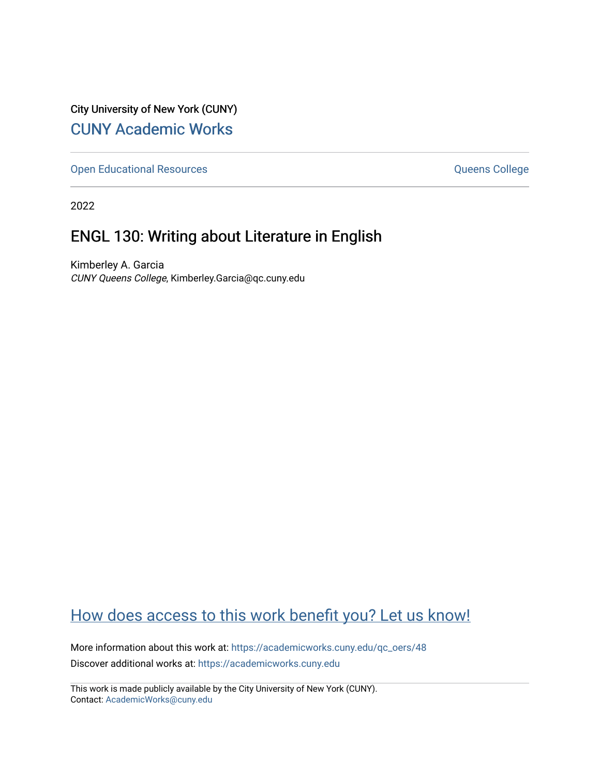City University of New York (CUNY) [CUNY Academic Works](https://academicworks.cuny.edu/) 

[Open Educational Resources](https://academicworks.cuny.edu/qc_oers) **College** Queens College

2022

# ENGL 130: Writing about Literature in English

Kimberley A. Garcia CUNY Queens College, Kimberley.Garcia@qc.cuny.edu

# [How does access to this work benefit you? Let us know!](http://ols.cuny.edu/academicworks/?ref=https://academicworks.cuny.edu/qc_oers/48)

More information about this work at: [https://academicworks.cuny.edu/qc\\_oers/48](https://academicworks.cuny.edu/qc_oers/48) Discover additional works at: [https://academicworks.cuny.edu](https://academicworks.cuny.edu/?)

This work is made publicly available by the City University of New York (CUNY). Contact: [AcademicWorks@cuny.edu](mailto:AcademicWorks@cuny.edu)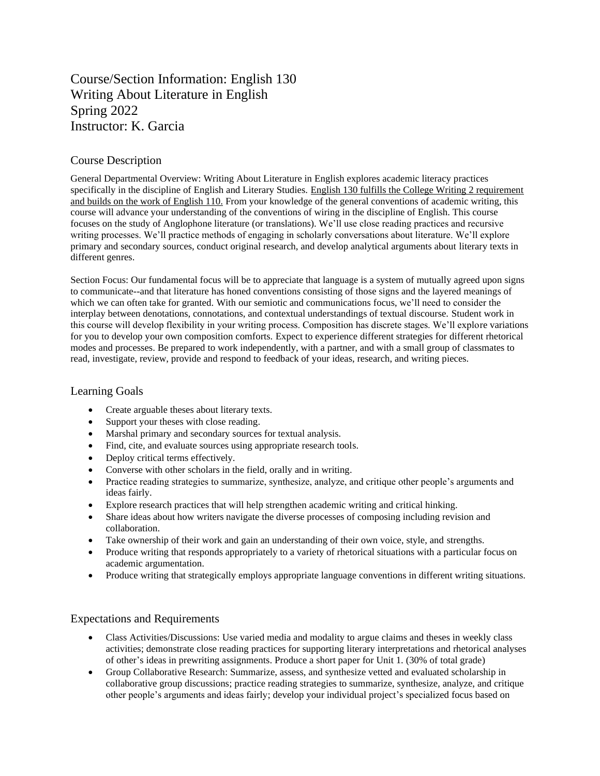# Course/Section Information: English 130 Writing About Literature in English Spring 2022 Instructor: K. Garcia

#### Course Description

General Departmental Overview: Writing About Literature in English explores academic literacy practices specifically in the discipline of English and Literary Studies. English 130 fulfills the College Writing 2 requirement and builds on the work of English 110. From your knowledge of the general conventions of academic writing, this course will advance your understanding of the conventions of wiring in the discipline of English. This course focuses on the study of Anglophone literature (or translations). We'll use close reading practices and recursive writing processes. We'll practice methods of engaging in scholarly conversations about literature. We'll explore primary and secondary sources, conduct original research, and develop analytical arguments about literary texts in different genres.

Section Focus: Our fundamental focus will be to appreciate that language is a system of mutually agreed upon signs to communicate--and that literature has honed conventions consisting of those signs and the layered meanings of which we can often take for granted. With our semiotic and communications focus, we'll need to consider the interplay between denotations, connotations, and contextual understandings of textual discourse. Student work in this course will develop flexibility in your writing process. Composition has discrete stages. We'll explore variations for you to develop your own composition comforts. Expect to experience different strategies for different rhetorical modes and processes. Be prepared to work independently, with a partner, and with a small group of classmates to read, investigate, review, provide and respond to feedback of your ideas, research, and writing pieces.

#### Learning Goals

- Create arguable theses about literary texts.
- Support your theses with close reading.
- Marshal primary and secondary sources for textual analysis.
- Find, cite, and evaluate sources using appropriate research tools.
- Deploy critical terms effectively.
- Converse with other scholars in the field, orally and in writing.
- Practice reading strategies to summarize, synthesize, analyze, and critique other people's arguments and ideas fairly.
- Explore research practices that will help strengthen academic writing and critical hinking.
- Share ideas about how writers navigate the diverse processes of composing including revision and collaboration.
- Take ownership of their work and gain an understanding of their own voice, style, and strengths.
- Produce writing that responds appropriately to a variety of rhetorical situations with a particular focus on academic argumentation.
- Produce writing that strategically employs appropriate language conventions in different writing situations.

#### Expectations and Requirements

- Class Activities/Discussions: Use varied media and modality to argue claims and theses in weekly class activities; demonstrate close reading practices for supporting literary interpretations and rhetorical analyses of other's ideas in prewriting assignments. Produce a short paper for Unit 1. (30% of total grade)
- Group Collaborative Research: Summarize, assess, and synthesize vetted and evaluated scholarship in collaborative group discussions; practice reading strategies to summarize, synthesize, analyze, and critique other people's arguments and ideas fairly; develop your individual project's specialized focus based on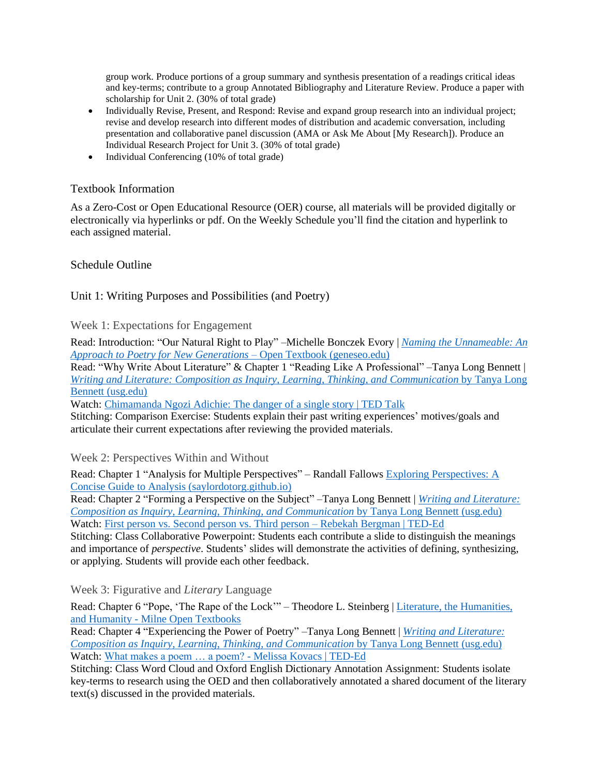group work. Produce portions of a group summary and synthesis presentation of a readings critical ideas and key-terms; contribute to a group Annotated Bibliography and Literature Review. Produce a paper with scholarship for Unit 2. (30% of total grade)

- Individually Revise, Present, and Respond: Revise and expand group research into an individual project; revise and develop research into different modes of distribution and academic conversation, including presentation and collaborative panel discussion (AMA or Ask Me About [My Research]). Produce an Individual Research Project for Unit 3. (30% of total grade)
- Individual Conferencing (10% of total grade)

### Textbook Information

As a Zero-Cost or Open Educational Resource (OER) course, all materials will be provided digitally or electronically via hyperlinks or pdf. On the Weekly Schedule you'll find the citation and hyperlink to each assigned material.

### Schedule Outline

## Unit 1: Writing Purposes and Possibilities (and Poetry)

Week 1: Expectations for Engagement

Read: Introduction: "Our Natural Right to Play" –Michelle Bonczek Evory | *[Naming the Unnameable: An](https://milnepublishing.geneseo.edu/naming-the-unnameable/)  [Approach to Poetry for New Generations](https://milnepublishing.geneseo.edu/naming-the-unnameable/)* – Open Textbook (geneseo.edu)

Read: "Why Write About Literature" & Chapter 1 "Reading Like A Professional" –Tanya Long Bennett | *[Writing and Literature: Composition as Inquiry, Learning, Thinking, and Communication](https://oer.galileo.usg.edu/english-textbooks/15/)* by Tanya Long [Bennett \(usg.edu\)](https://oer.galileo.usg.edu/english-textbooks/15/)

Watch: Chimamanda [Ngozi Adichie: The danger of a single story | TED Talk](https://www.ted.com/talks/chimamanda_ngozi_adichie_the_danger_of_a_single_story?referrer=playlist-the_power_of_fiction_1&autoplay=true)

Stitching: Comparison Exercise: Students explain their past writing experiences' motives/goals and articulate their current expectations after reviewing the provided materials.

Week 2: Perspectives Within and Without

Read: Chapter 1 "Analysis for Multiple Perspectives" – Randall Fallows [Exploring Perspectives: A](https://saylordotorg.github.io/text_exploring-perspectives-a-concise-guide-to-analysis/index.html)  [Concise Guide to Analysis \(saylordotorg.github.io\)](https://saylordotorg.github.io/text_exploring-perspectives-a-concise-guide-to-analysis/index.html)

Read: Chapter 2 "Forming a Perspective on the Subject" –Tanya Long Bennett | *[Writing and Literature:](https://oer.galileo.usg.edu/english-textbooks/15/)  [Composition as Inquiry, Learning, Thinking, and Communication](https://oer.galileo.usg.edu/english-textbooks/15/)* by Tanya Long Bennett (usg.edu) Watch: [First person vs. Second person vs. Third person –](https://ed.ted.com/lessons/first-person-vs-second-person-vs-third-person-rebekah-bergman#watch) Rebekah Bergman | TED-Ed

Stitching: Class Collaborative Powerpoint: Students each contribute a slide to distinguish the meanings and importance of *perspective*. Students' slides will demonstrate the activities of defining, synthesizing, or applying. Students will provide each other feedback.

Week 3: Figurative and *Literary* Language

Read: Chapter 6 "Pope, 'The Rape of the Lock'" – Theodore L. Steinberg | Literature, the Humanities, and Humanity - [Milne Open Textbooks](https://milneopentextbooks.org/literature-humanities-humanity/)

Read: Chapter 4 "Experiencing the Power of Poetry" –Tanya Long Bennett | *[Writing and Literature:](https://oer.galileo.usg.edu/english-textbooks/15/)  [Composition as Inquiry, Learning, Thinking, and Communication](https://oer.galileo.usg.edu/english-textbooks/15/)* by Tanya Long Bennett (usg.edu) Watch: [What makes a poem … a poem? -](https://ed.ted.com/lessons/what-makes-a-poem-a-poem-melissa-kovacs#watch) Melissa Kovacs | TED-Ed

Stitching: Class Word Cloud and Oxford English Dictionary Annotation Assignment: Students isolate key-terms to research using the OED and then collaboratively annotated a shared document of the literary text(s) discussed in the provided materials.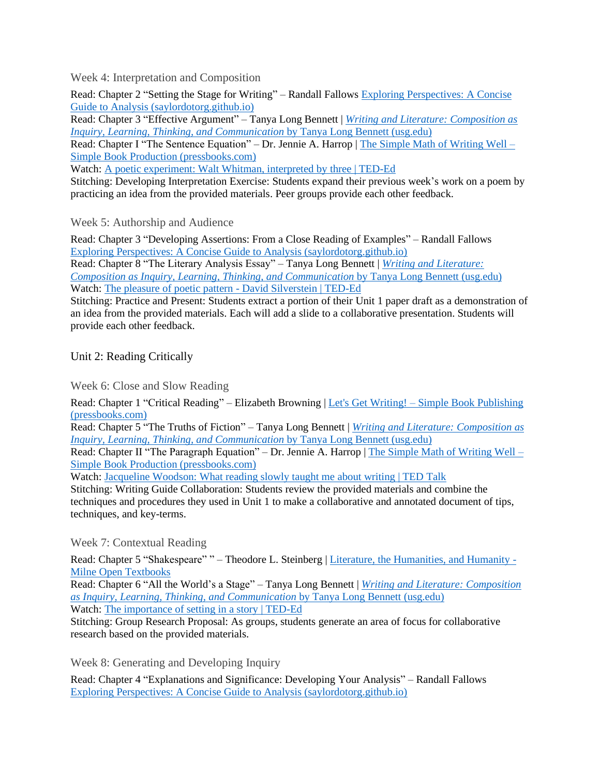Week 4: Interpretation and Composition

Read: Chapter 2 "Setting the Stage for Writing" – Randall Fallows Exploring Perspectives: A Concise Guide to Analysis (saylordotorg.github.io)

Read: Chapter 3 "Effective Argument" – Tanya Long Bennett | *Writing and Literature: Composition as Inquiry, Learning, Thinking, and Communication* by Tanya Long Bennett (usg.edu)

Read: Chapter I "The Sentence Equation" – Dr. Jennie A. Harrop | The Simple Math of Writing Well – Simple Book Production (pressbooks.com)

Watch: A poetic experiment: Walt Whitman, interpreted by three | TED-Ed

Stitching: Developing Interpretation Exercise: Students expand their previous week's work on a poem by practicing an idea from the provided materials. Peer groups provide each other feedback.

### Week 5: Authorship and Audience

Read: Chapter 3 "Developing Assertions: From a Close Reading of Examples" – Randall Fallows Exploring Perspectives: A Concise Guide to Analysis (saylordotorg.github.io)

Read: Chapter 8 "The Literary Analysis Essay" – Tanya Long Bennett | *Writing and Literature: Composition as Inquiry, Learning, Thinking, and Communication* by Tanya Long Bennett (usg.edu) Watch: The pleasure of poetic pattern - David Silverstein | TED-Ed

Stitching: Practice and Present: Students extract a portion of their Unit 1 paper draft as a demonstration of an idea from the provided materials. Each will add a slide to a collaborative presentation. Students will provide each other feedback.

Unit 2: Reading Critically

Week 6: Close and Slow Reading

Read: Chapter 1 "Critical Reading" – Elizabeth Browning | Let's Get Writing! – Simple Book Publishing (pressbooks.com)

Read: Chapter 5 "The Truths of Fiction" – Tanya Long Bennett | *Writing and Literature: Composition as Inquiry, Learning, Thinking, and Communication* by Tanya Long Bennett (usg.edu)

Read: Chapter II "The Paragraph Equation" – Dr. Jennie A. Harrop | The Simple Math of Writing Well – Simple Book Production (pressbooks.com)

Watch: Jacqueline Woodson: What reading slowly taught me about writing | TED Talk

Stitching: Writing Guide Collaboration: Students review the provided materials and combine the techniques and procedures they used in Unit 1 to make a collaborative and annotated document of tips, techniques, and key-terms.

Week 7: Contextual Reading

Read: Chapter 5 "Shakespeare" " – Theodore L. Steinberg | Literature, the Humanities, and Humanity -Milne Open Textbooks

Read: Chapter 6 "All the World's a Stage" – Tanya Long Bennett | *Writing and Literature: Composition as Inquiry, Learning, Thinking, and Communication* by Tanya Long Bennett (usg.edu) Watch: The importance of setting in a story | TED-Ed

Stitching: Group Research Proposal: As groups, students generate an area of focus for collaborative research based on the provided materials.

Week 8: Generating and Developing Inquiry

Read: Chapter 4 "Explanations and Significance: Developing Your Analysis" – Randall Fallows Exploring Perspectives: A Concise Guide to Analysis (saylordotorg.github.io)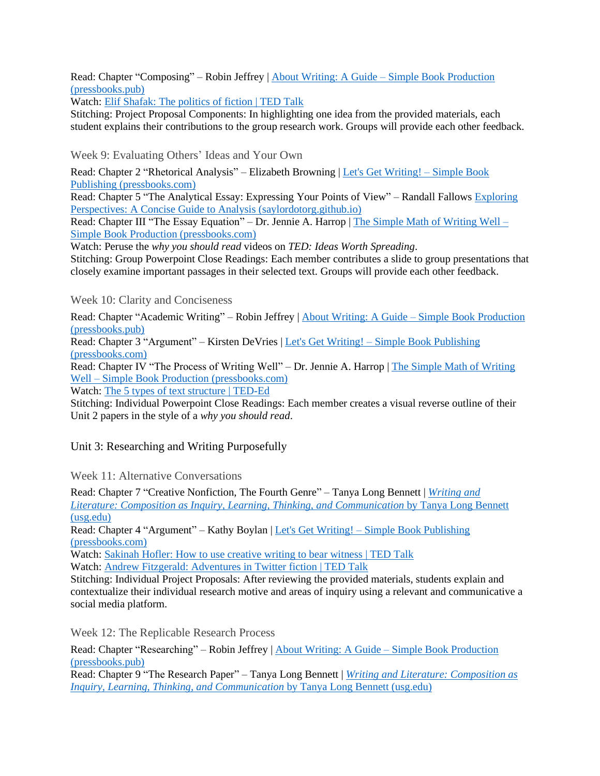Read: Chapter "Composing" – Robin Jeffrey | About Writing: A Guide – Simple Book Production (pressbooks.pub)

Watch: Elif Shafak: The politics of fiction | TED Talk

Stitching: Project Proposal Components: In highlighting one idea from the provided materials, each student explains their contributions to the group research work. Groups will provide each other feedback.

Week 9: Evaluating Others' Ideas and Your Own

Read: Chapter 2 "Rhetorical Analysis" – Elizabeth Browning | Let's Get Writing! – Simple Book Publishing (pressbooks.com)

Read: Chapter 5 "The Analytical Essay: Expressing Your Points of View" – Randall Fallows Exploring Perspectives: A Concise Guide to Analysis (saylordotorg.github.io)

Read: Chapter III "The Essay Equation" – Dr. Jennie A. Harrop | The Simple Math of Writing Well – Simple Book Production (pressbooks.com)

Watch: Peruse the *why you should read* videos on *TED: Ideas Worth Spreading*.

Stitching: Group Powerpoint Close Readings: Each member contributes a slide to group presentations that closely examine important passages in their selected text. Groups will provide each other feedback.

Week 10: Clarity and Conciseness

Read: Chapter "Academic Writing" – Robin Jeffrey | About Writing: A Guide – Simple Book Production (pressbooks.pub)

Read: Chapter 3 "Argument" – Kirsten DeVries | Let's Get Writing! – Simple Book Publishing (pressbooks.com)

Read: Chapter IV "The Process of Writing Well" – Dr. Jennie A. Harrop | The Simple Math of Writing Well – Simple Book Production (pressbooks.com)

Watch: The 5 types of text structure | TED-Ed

Stitching: Individual Powerpoint Close Readings: Each member creates a visual reverse outline of their Unit 2 papers in the style of a *why you should read*.

Unit 3: Researching and Writing Purposefully

Week 11: Alternative Conversations

Read: Chapter 7 "Creative Nonfiction, The Fourth Genre" – Tanya Long Bennett | *Writing and Literature: Composition as Inquiry, Learning, Thinking, and Communication* by Tanya Long Bennett (usg.edu)

Read: Chapter 4 "Argument" – Kathy Boylan | Let's Get Writing! – Simple Book Publishing (pressbooks.com)

Watch: Sakinah Hofler: How to use creative writing to bear witness | TED Talk Watch: Andrew Fitzgerald: Adventures in Twitter fiction | TED Talk

Stitching: Individual Project Proposals: After reviewing the provided materials, students explain and contextualize their individual research motive and areas of inquiry using a relevant and communicative a social media platform.

Week 12: The Replicable Research Process

Read: Chapter "Researching" – Robin Jeffrey | About Writing: A Guide – Simple Book Production (pressbooks.pub)

Read: Chapter 9 "The Research Paper" – Tanya Long Bennett | *Writing and Literature: Composition as Inquiry, Learning, Thinking, and Communication* by Tanya Long Bennett (usg.edu)